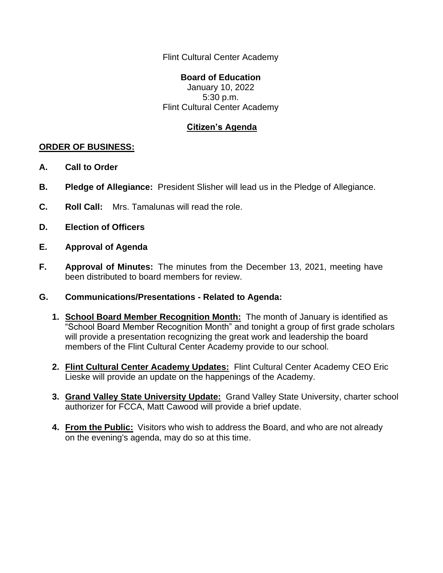Flint Cultural Center Academy

## **Board of Education**

January 10, 2022 5:30 p.m. Flint Cultural Center Academy

## **Citizen's Agenda**

## **ORDER OF BUSINESS:**

- **A. Call to Order**
- **B. Pledge of Allegiance:** President Slisher will lead us in the Pledge of Allegiance.
- **C. Roll Call:** Mrs. Tamalunas will read the role.
- **D. Election of Officers**
- **E. Approval of Agenda**
- **F. Approval of Minutes:** The minutes from the December 13, 2021, meeting have been distributed to board members for review.
- **G. Communications/Presentations - Related to Agenda:**
	- **1. School Board Member Recognition Month:** The month of January is identified as "School Board Member Recognition Month" and tonight a group of first grade scholars will provide a presentation recognizing the great work and leadership the board members of the Flint Cultural Center Academy provide to our school.
	- **2. Flint Cultural Center Academy Updates:** Flint Cultural Center Academy CEO Eric Lieske will provide an update on the happenings of the Academy.
	- **3. Grand Valley State University Update:** Grand Valley State University, charter school authorizer for FCCA, Matt Cawood will provide a brief update.
	- **4. From the Public:** Visitors who wish to address the Board, and who are not already on the evening's agenda, may do so at this time.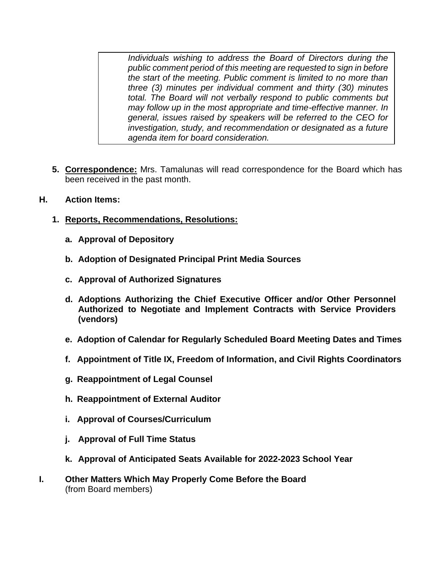*Individuals wishing to address the Board of Directors during the public comment period of this meeting are requested to sign in before the start of the meeting. Public comment is limited to no more than three (3) minutes per individual comment and thirty (30) minutes total. The Board will not verbally respond to public comments but may follow up in the most appropriate and time-effective manner. In general, issues raised by speakers will be referred to the CEO for investigation, study, and recommendation or designated as a future agenda item for board consideration.*

- **5. Correspondence:** Mrs. Tamalunas will read correspondence for the Board which has been received in the past month.
- **H. Action Items:**
	- **1. Reports, Recommendations, Resolutions:**
		- **a. Approval of Depository**
		- **b. Adoption of Designated Principal Print Media Sources**
		- **c. Approval of Authorized Signatures**
		- **d. Adoptions Authorizing the Chief Executive Officer and/or Other Personnel Authorized to Negotiate and Implement Contracts with Service Providers (vendors)**
		- **e. Adoption of Calendar for Regularly Scheduled Board Meeting Dates and Times**
		- **f. Appointment of Title IX, Freedom of Information, and Civil Rights Coordinators**
		- **g. Reappointment of Legal Counsel**
		- **h. Reappointment of External Auditor**
		- **i. Approval of Courses/Curriculum**
		- **j. Approval of Full Time Status**
		- **k. Approval of Anticipated Seats Available for 2022-2023 School Year**
- **I. Other Matters Which May Properly Come Before the Board** (from Board members)